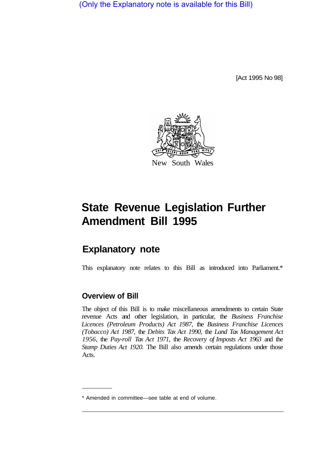(Only the Explanatory note is available for this Bill)

[Act 1995 No 98]



# **State Revenue Legislation Further Amendment Bill 1995**

# **Explanatory note**

This explanatory note relates to this Bill as introduced into Parliament.\*

# **Overview of Bill**

The object of this Bill is to make miscellaneous amendments to certain State revenue Acts and other legislation, in particular, the *Business Franchise Licences (Petroleum Products) Act 1987,* the *Business Franchise Licences (Tobacco) Act 1987,* the *Debits Tax Act 1990,* the *Land Tax Management Act 1956,* the *Pay-roll Tax Act 1971,* the *Recovery of Imposts Act 1963* and the *Stamp Duties Act 1920.* The Bill also amends certain regulations under those Acts.

<sup>\*</sup> Amended in committee—see table at end of volume.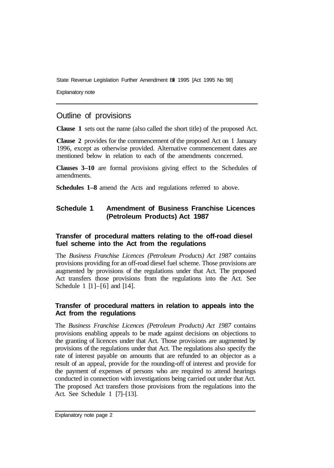Explanatory note

# Outline of provisions

**Clause 1** sets out the name (also called the short title) of the proposed Act.

**Clause 2** provides for the commencement of the proposed Act on 1 January 1996, except as otherwise provided. Alternative commencement dates are mentioned below in relation to each of the amendments concerned.

**Clauses 3–10** are formal provisions giving effect to the Schedules of amendments.

**Schedules 1–8** amend the Acts and regulations referred to above.

# **Schedule 1 Amendment of Business Franchise Licences (Petroleum Products) Act 1987**

# **Transfer of procedural matters relating to the off-road diesel fuel scheme into the Act from the regulations**

The *Business Franchise Licences (Petroleum Products) Act 1987* contains provisions providing for an off-road diesel fuel scheme. Those provisions are augmented by provisions of the regulations under that Act. The proposed Act transfers those provisions from the regulations into the Act. See Schedule 1  $[1]$ – $[6]$  and  $[14]$ .

# **Transfer of procedural matters in relation to appeals into the Act from the regulations**

The *Business Franchise Licences (Petroleum Products) Act 1987* contains provisions enabling appeals to be made against decisions on objections to the granting of licences under that Act. Those provisions are augmented by provisions of the regulations under that Act. The regulations also specify the rate of interest payable on amounts that are refunded to an objector as a result of an appeal, provide for the rounding-off of interest and provide for the payment of expenses of persons who are required to attend hearings conducted in connection with investigations being carried out under that Act. The proposed Act transfers those provisions from the regulations into the Act. See Schedule 1 [7]–[13].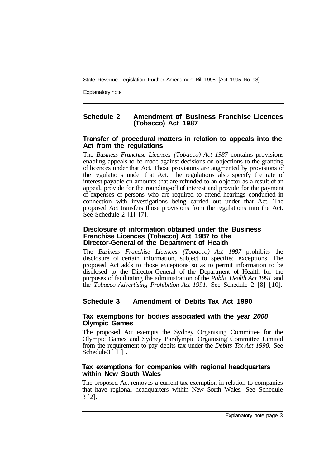Explanatory note

# **Schedule 2 Amendment of Business Franchise Licences (Tobacco) Act 1987**

#### **Transfer of procedural matters in relation to appeals into the Act from the regulations**

The *Business Franchise Licences (Tobacco) Act 1987* contains provisions enabling appeals to be made against decisions on objections to the granting of licences under that Act. Those provisions are augmented by provisions of the regulations under that Act. The regulations also specify the rate of interest payable on amounts that are refunded to an objector as a result of an appeal, provide for the rounding-off of interest and provide for the payment of expenses of persons who are required to attend hearings conducted in connection with investigations being carried out under that Act. The proposed Act transfers those provisions from the regulations into the Act. See Schedule  $2 \lfloor 1 \rfloor - \lfloor 7 \rfloor$ .

#### **Disclosure of information obtained under the Business Franchise Licences (Tobacco) Act 1987 to the Director-General of the Department of Health**

The *Business Franchise Licences (Tobacco) Act 1987* prohibits the disclosure of certain information, subject to specified exceptions. The proposed Act adds to those exceptions so as to permit information to be disclosed to the Director-General of the Department of Health for the purposes of facilitating the administration of the *Public Health Act 1991* and the *Tobacco Advertising Prohibition Act 1991.* See Schedule 2 [8]–[ 10].

# **Schedule 3 Amendment of Debits Tax Act 1990**

#### **Tax exemptions for bodies associated with the year** *2000*  **Olympic Games**

The proposed Act exempts the Sydney Organising Committee for the Olympic Games and Sydney Paralympic Organising' Committee Limited from the requirement to pay debits tax under the *Debits Tax Act 1990.* See Schedule  $3\lceil 1 \rceil$ .

#### **Tax exemptions for companies with regional headquarters within New South Wales**

The proposed Act removes a current tax exemption in relation to companies that have regional headquarters within New South Wales. See Schedule 3 [2].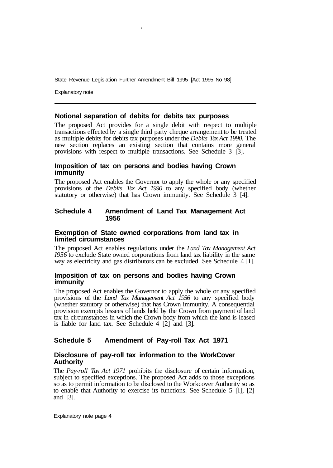**I** 

Explanatory note

#### **Notional separation of debits for debits tax purposes**

The proposed Act provides for a single debit with respect to multiple transactions effected by a single third party cheque arrangement to be treated as multiple debits for debits tax purposes under the *Debits Tax Act 1990.* The new section replaces an existing section that contains more general provisions with respect to multiple transactions. See Schedule 3 [3].

#### **Imposition of tax on persons and bodies having Crown immunity**

The proposed Act enables the Governor to apply the whole or any specified provisions of the *Debits Tax Act 1990* to any specified body (whether statutory or otherwise) that has Crown immunity. See Schedule 3 [4].

#### **Schedule 4 Amendment of Land Tax Management Act 1956**

#### **Exemption of State owned corporations from land tax in limited circumstances**

The proposed Act enables regulations under the *Land Tax Management Act I956* to exclude State owned corporations from land tax liability in the same way as electricity and gas distributors can be excluded. See Schedule 4 [l].

#### **Imposition of tax on persons and bodies having Crown immunity**

The proposed Act enables the Governor to apply the whole or any specified provisions of the *Land Tax Management Act 1956* to any specified body (whether statutory or otherwise) that has Crown immunity. A consequential provision exempts lessees of lands held by the Crown from payment of land tax in circumstances in which the Crown body from which the land is leased is liable for land tax. See Schedule 4 [2] and [3].

# **Schedule 5 Amendment of Pay-roll Tax Act 1971**

#### **Disclosure of pay-roll tax information to the WorkCover Authority**

The *Pay-roll Tax Act 1971* prohibits the disclosure of certain information, subject to specified exceptions. The proposed Act adds to those exceptions so as to permit information to be disclosed to the Workcover Authority so as to enable that Authority to exercise its functions. See Schedule 5 [l], [2] and [3].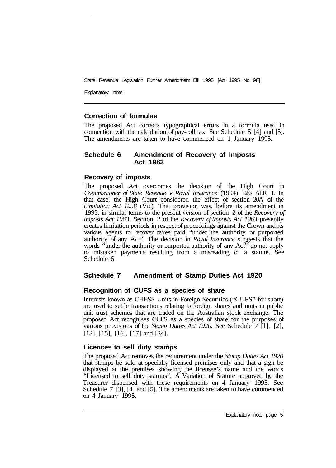Explanatory note

# **Correction of formulae**

The proposed Act corrects typographical errors in a formula used in connection with the calculation of pay-roll tax. See Schedule 5 [4] and [5]. The amendments are taken to have commenced on 1 January 1995.

#### **Schedule 6 Amendment of Recovery of Imposts Act 1963**

#### **Recovery of imposts**

The proposed Act overcomes the decision of the High Court in *Commissioner of State Revenue v Royal Insurance* (1994) 126 ALR 1. In that case, the High Court considered the effect of section 20A of the *Limitation Act 1958* (Vic). That provision was, before its amendment in 1993, in similar terms to the present version of section 2 of the *Recovery of Imposts Act 1963.* Section 2 of the *Recovery of Imposts Act 1963* presently creates limitation periods in respect of proceedings against the Crown and its various agents to recover taxes paid "under the authority or purported authority of any Act". The decision in *Royal Insurance* suggests that the words "under the authority or purported authority of any Act" do not apply to mistaken payments resulting from a misreading of a statute. See Schedule 6.

# **Schedule 7 Amendment of Stamp Duties Act 1920**

#### **Recognition of CUFS as a species of share**

Interests known as CHESS Units in Foreign Securities ("CUFS" for short) are used to settle transactions relating to foreign shares and units in public unit trust schemes that are traded on the Australian stock exchange. The proposed Act recognises CUFS as a species of share for the purposes of various provisions of the *Stamp Duties Act 1920.* See Schedule 7 [l], [2], [13], [15], [16], [17] and [34].

# **Licences to sell duty stamps**

The proposed Act removes the requirement under the *Stamp Duties Act 1920*  that stamps be sold at specially licensed premises only and that a sign be displayed at the premises showing the licensee's name and the words "Licensed to sell duty stamps". A Variation of Statute approved by the Treasurer dispensed with these requirements on 4 January 1995. See Schedule 7 [3], [4] and [5]. The amendments are taken to have commenced on 4 January 1995.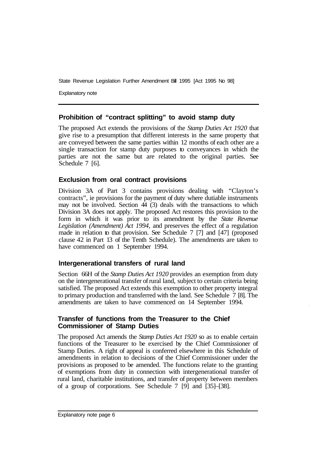Explanatory note

#### **Prohibition of "contract splitting" to avoid stamp duty**

The proposed Act extends the provisions of the *Stamp Duties Act 1920* that give rise to a presumption that different interests in the same property that are conveyed between the same parties within 12 months of each other are a single transaction for stamp duty purposes to conveyances in which the parties are not the same but are related to the original parties. See Schedule 7 [6].

#### **Exclusion from oral contract provisions**

Division 3A of Part 3 contains provisions dealing with "Clayton's contracts", ie provisions for the payment of duty where dutiable instruments may not be involved. Section  $\overline{44}$  (3) deals with the transactions to which Division 3A does not apply. The proposed Act restores this provision to the form in which it was prior to its amendment by the *State Revenue Legislation (Amendment) Act 1994,* and preserves the effect of a regulation made in relation to that provision. See Schedule 7 [7] and [47] (proposed clause 42 in Part 13 of the Tenth Schedule). The amendments are taken to have commenced on 1 September 1994.

# **lntergenerational transfers of rural land**

Section 66H of the *Stamp Duties Act 1920* provides an exemption from duty on the intergenerational transfer of rural land, subject to certain criteria being satisfied. The proposed Act extends this exemption to other property integral to primary production and transferred with the land. See Schedule 7 [8]. The amendments are taken to have commenced on 14 September 1994.

#### **Transfer of functions from the Treasurer to the Chief Commissioner of Stamp Duties**

The proposed Act amends the *Stamp Duties Act 1920* so as to enable certain functions of the Treasurer to be exercised by the Chief Commissioner of Stamp Duties. A right of appeal is conferred elsewhere in this Schedule of amendments in relation to decisions of the Chief Commissioner under the provisions as proposed to be amended. The functions relate to the granting of exemptions from duty in connection with intergenerational transfer of rural land, charitable institutions, and transfer of property between members of a group of corporations. See Schedule 7 [9] and [35]–[38].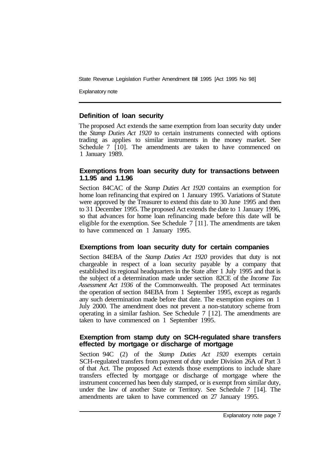Explanatory note

#### **Definition of loan security**

The proposed Act extends the same exemption from loan security duty under the *Stamp Duties Act 1920* to certain instruments connected with options trading as applies to similar instruments in the money market. See Schedule 7 [10]. The amendments are taken to have commenced on 1 January 1989.

### **Exemptions from loan security duty for transactions between 1.1.95 and 1.1.96**

Section 84CAC of the *Stamp Duties Act 1920* contains an exemption for home loan refinancing that expired on 1 January 1995. Variations of Statute were approved by the Treasurer to extend this date to 30 June 1995 and then to 3 1 December 1995. The proposed Act extends the date to 1 January 1996, so that advances for home loan refinancing made before this date will be eligible for the exemption. See Schedule 7 [ 11 ]. The amendments are taken to have commenced on 1 January 1995.

# **Exemptions from loan security duty for certain companies**

Section 84EBA of the *Stamp Duties Act 1920* provides that duty is not chargeable in respect of a loan security payable by a company that established its regional headquarters in the State after 1 July 1995 and that is the subject of a determination made under section 82CE of the *Income Tax Assessment Act 1936* of the Commonwealth. The proposed Act terminates the operation of section 84EBA from 1 September 1995, except as regards any such determination made before that date. The exemption expires on 1 July 2000. The amendment does not prevent a non-statutory scheme from operating in a similar fashion. See Schedule 7 [ 12]. The amendments are taken to have commenced on 1 September 1995.

#### **Exemption from stamp duty on SCH-regulated share transfers effected by mortgage or discharge of mortgage**

Section 94C (2) of the *Stamp Duties Act 1920* exempts certain SCH-regulated transfers from payment of duty under Division 26A of Part 3 of that Act. The proposed Act extends those exemptions to include share transfers effected by mortgage or discharge of mortgage where the instrument concerned has been duly stamped, or is exempt from similar duty, under the law of another State or Territory. See Schedule 7 [14]. The amendments are taken to have commenced on 27 January 1995.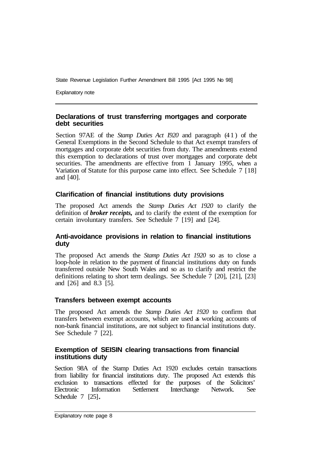Explanatory note

#### **Declarations of trust transferring mortgages and corporate debt securities**

Section 97AE of the *Stamp Duties Act I920* and paragraph (4 1 ) of the General Exemptions in the Second Schedule to that Act exempt transfers of mortgages and corporate debt securities from duty. The amendments extend this exemption to declarations of trust over mortgages and corporate debt securities. The amendments are effective from 1 January 1995, when a Variation of Statute for this purpose came into effect. See Schedule 7 [ 18] and [40].

#### **Clarification of financial institutions duty provisions**

The proposed Act amends the *Stamp Duties Act 1920* to clarify the definition of *broker receipts,* and to clarify the extent of the exemption for certain involuntary transfers. See Schedule 7 [19] and [24].

#### **Anti-avoidance provisions in relation to financial institutions duty**

The proposed Act amends the *Stamp Duties Act 1920* so as to close a loop-hole in relation to the payment of financial institutions duty on funds transferred outside New South Wales and so as to clarify and restrict the definitions relating to short term dealings. See Schedule 7 [20], [21], [23] and [26] and 8.3 [5].

#### **Transfers between exempt accounts**

The proposed Act amends the *Stamp Duties Act 1920* to confirm that transfers between exempt accounts, which are used as working accounts of non-bank financial institutions, are not subject to financial institutions duty. See Schedule 7 [22].

#### **Exemption of SEISIN clearing transactions from financial institutions duty**

Section 98A of the Stamp Duties Act 1920 excludes certain transactions from liability for financial institutions duty. The proposed Act extends this exclusion to transactions effected for the purposes of the Solicitors' Electronic Information Settlement Interchange Network. See Schedule 7 [25].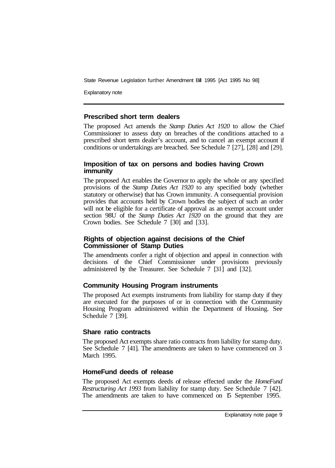Explanatory note

# **Prescribed short term dealers**

The proposed Act amends the *Stamp Duties Act 1920* to allow the Chief Commissioner to assess duty on breaches of the conditions attached to a prescribed short term dealer's account, and to cancel an exempt account if conditions or undertakings are breached. See Schedule 7 [27], [28] and [29].

#### **Imposition of tax on persons and bodies having Crown immunity**

The proposed Act enables the Governor to apply the whole or any specified provisions of the *Stamp Duties Act 1920* to any specified body (whether statutory or otherwise) that has Crown immunity. A consequential provision provides that accounts held by Crown bodies the subject of such an order will not be eligible for a certificate of approval as an exempt account under section 98U of the *Stamp Duties Act 1920* on the ground that they are Crown bodies. See Schedule 7 [30] and [33].

#### **Rights of objection against decisions of the Chief Commissioner of Stamp Duties**

The amendments confer a right of objection and appeal in connection with decisions of the Chief Commissioner under provisions previously administered by the Treasurer. See Schedule 7 [31] and [32].

# **Community Housing Program instruments**

The proposed Act exempts instruments from liability for stamp duty if they are executed for the purposes of or in connection with the Community Housing Program administered within the Department of Housing. See Schedule 7 [39].

# **Share ratio contracts**

The proposed Act exempts share ratio contracts from liability for stamp duty. See Schedule 7 [41]. The amendments are taken to have commenced on 3 March 1995.

# **HomeFund deeds of release**

The proposed Act exempts deeds of release effected under the *HomeFund Restructuring Act 1993* from liability for stamp duty. See Schedule 7 [42]. The amendments are taken to have commenced on 15 September 1995.